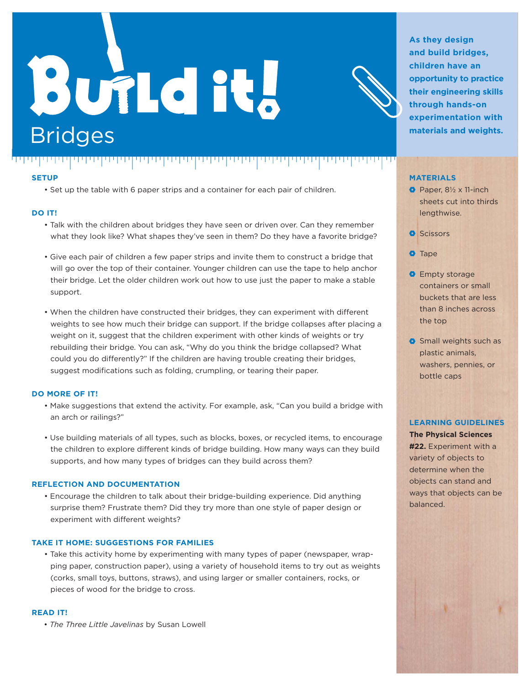# **Build it.** Bridges

an da bat



**As they design and build bridges, children have an opportunity to practice their engineering skills through hands-on experimentation with materials and weights.**

#### **SETUP**

ית היה היה היה י

יתיתיותיות

• Set up the table with 6 paper strips and a container for each pair of children.

#### **DO IT!**

- Talk with the children about bridges they have seen or driven over. Can they remember what they look like? What shapes they've seen in them? Do they have a favorite bridge?
- Give each pair of children a few paper strips and invite them to construct a bridge that will go over the top of their container. Younger children can use the tape to help anchor their bridge. Let the older children work out how to use just the paper to make a stable support.
- When the children have constructed their bridges, they can experiment with different weights to see how much their bridge can support. If the bridge collapses after placing a weight on it, suggest that the children experiment with other kinds of weights or try rebuilding their bridge. You can ask, "Why do you think the bridge collapsed? What could you do differently?" If the children are having trouble creating their bridges, suggest modifications such as folding, crumpling, or tearing their paper.

#### **DO MORE OF IT!**

- Make suggestions that extend the activity. For example, ask, "Can you build a bridge with an arch or railings?"
- Use building materials of all types, such as blocks, boxes, or recycled items, to encourage the children to explore different kinds of bridge building. How many ways can they build supports, and how many types of bridges can they build across them?

#### **REFLECTION AND DOCUMENTATION**

• Encourage the children to talk about their bridge-building experience. Did anything surprise them? Frustrate them? Did they try more than one style of paper design or experiment with different weights?

#### **TAKE IT HOME: SUGGESTIONS FOR FAMILIES**

• Take this activity home by experimenting with many types of paper (newspaper, wrapping paper, construction paper), using a variety of household items to try out as weights (corks, small toys, buttons, straws), and using larger or smaller containers, rocks, or pieces of wood for the bridge to cross.

#### **READ IT!**

• *The Three Little Javelinas* by Susan Lowell

#### **MATERIALS**

- $\bullet$  Paper,  $8\frac{1}{2} \times 11$ -inch sheets cut into thirds lengthwise.
- **O** Scissors
- **O** Tape
- **O** Empty storage containers or small buckets that are less than 8 inches across the top
- **O** Small weights such as plastic animals, washers, pennies, or bottle caps

#### **LEARNING GUIDELINES**

**The Physical Sciences #22.** Experiment with a variety of objects to determine when the objects can stand and ways that objects can be balanced.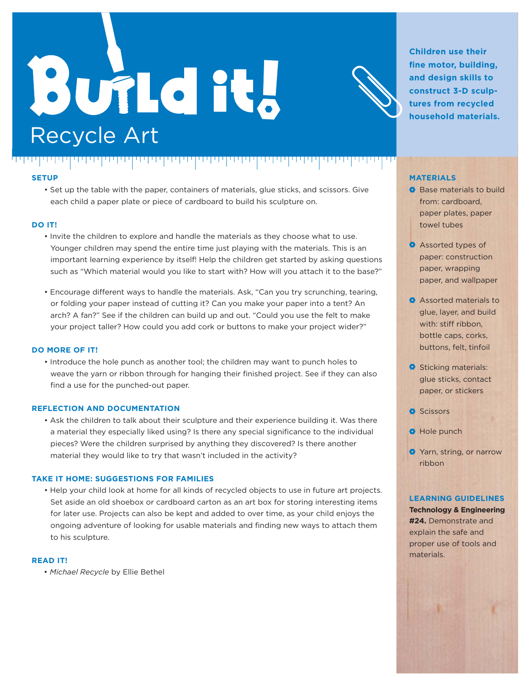## **Build it.** Recycle Art



**Children use their fine motor, building, and design skills to construct 3-D sculptures from recycled household materials.**

#### **MATERIALS**

- **Base materials to build** from: cardboard, paper plates, paper towel tubes
- **Assorted types of** paper: construction paper, wrapping paper, and wallpaper
- **Assorted materials to** glue, layer, and build with: stiff ribbon, bottle caps, corks, buttons, felt, tinfoil
- **O** Sticking materials: glue sticks, contact paper, or stickers
- **O** Scissors
- **O** Hole punch
- **O** Yarn, string, or narrow ribbon

#### **LEARNING GUIDELINES**

**Technology & Engineering #24.** Demonstrate and explain the safe and proper use of tools and materials.

#### **SETUP**

• Set up the table with the paper, containers of materials, glue sticks, and scissors. Give each child a paper plate or piece of cardboard to build his sculpture on.

الاراباك

#### **DO IT!**

- Invite the children to explore and handle the materials as they choose what to use. Younger children may spend the entire time just playing with the materials. This is an important learning experience by itself! Help the children get started by asking questions such as "Which material would you like to start with? How will you attach it to the base?"
- Encourage different ways to handle the materials. Ask, "Can you try scrunching, tearing, or folding your paper instead of cutting it? Can you make your paper into a tent? An arch? A fan?" See if the children can build up and out. "Could you use the felt to make your project taller? How could you add cork or buttons to make your project wider?"

#### **DO MORE OF IT!**

• Introduce the hole punch as another tool; the children may want to punch holes to weave the yarn or ribbon through for hanging their finished project. See if they can also find a use for the punched-out paper.

#### **REFLECTION AND DOCUMENTATION**

المالا المالية والمتحال المالية والمتحال المالية والمتحال المالية والمتحالف والمتحالف

• Ask the children to talk about their sculpture and their experience building it. Was there a material they especially liked using? Is there any special significance to the individual pieces? Were the children surprised by anything they discovered? Is there another material they would like to try that wasn't included in the activity?

#### **TAKE IT HOME: SUGGESTIONS FOR FAMILIES**

• Help your child look at home for all kinds of recycled objects to use in future art projects. Set aside an old shoebox or cardboard carton as an art box for storing interesting items for later use. Projects can also be kept and added to over time, as your child enjoys the ongoing adventure of looking for usable materials and finding new ways to attach them to his sculpture.

#### **READ IT!**

• Michael Recycle by Ellie Bethel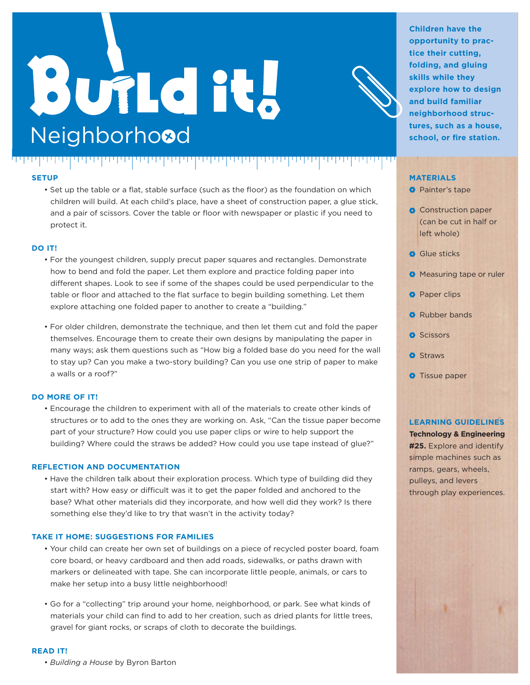## **Build it! Neighborhood**

الخاصات والمارامات والمارات الموارد والمائي والمارا والمائي والمائي والماري والماران الماري



**Children have the opportunity to practice their cutting, folding, and gluing skills while they explore how to design and build familiar neighborhood structures, such as a house, school, or fire station.**

#### **MATERIALS**

**O** Painter's tape

- Construction paper (can be cut in half or left whole)
- **Glue sticks**
- **O** Measuring tape or ruler
- **Paper clips**
- **Rubber bands**
- **O** Scissors
- **O** Straws
- **O** Tissue paper

#### **LEARNING GUIDELINES**

**Technology & Engineering #25.** Explore and identify simple machines such as ramps, gears, wheels, pulleys, and levers through play experiences.

#### **SETUP**

• Set up the table or a flat, stable surface (such as the floor) as the foundation on which children will build. At each child's place, have a sheet of construction paper, a glue stick, and a pair of scissors. Cover the table or floor with newspaper or plastic if you need to protect it.

#### **DO IT!**

- For the youngest children, supply precut paper squares and rectangles. Demonstrate how to bend and fold the paper. Let them explore and practice folding paper into different shapes. Look to see if some of the shapes could be used perpendicular to the table or floor and attached to the flat surface to begin building something. Let them explore attaching one folded paper to another to create a "building."
- For older children, demonstrate the technique, and then let them cut and fold the paper themselves. Encourage them to create their own designs by manipulating the paper in many ways; ask them questions such as "How big a folded base do you need for the wall to stay up? Can you make a two-story building? Can you use one strip of paper to make a walls or a roof?"

#### **DO MORE OF IT!**

• Encourage the children to experiment with all of the materials to create other kinds of structures or to add to the ones they are working on. Ask, "Can the tissue paper become part of your structure? How could you use paper clips or wire to help support the building? Where could the straws be added? How could you use tape instead of glue?"

#### **REFLECTION AND DOCUMENTATION**

• Have the children talk about their exploration process. Which type of building did they start with? How easy or difficult was it to get the paper folded and anchored to the base? What other materials did they incorporate, and how well did they work? Is there something else they'd like to try that wasn't in the activity today?

#### **TAKE IT HOME: SUGGESTIONS FOR FAMILIES**

- Your child can create her own set of buildings on a piece of recycled poster board, foam core board, or heavy cardboard and then add roads, sidewalks, or paths drawn with markers or delineated with tape. She can incorporate little people, animals, or cars to make her setup into a busy little neighborhood!
- Go for a "collecting" trip around your home, neighborhood, or park. See what kinds of materials your child can find to add to her creation, such as dried plants for little trees, gravel for giant rocks, or scraps of cloth to decorate the buildings.

#### **READ IT!**

• *Building a House* by Byron Barton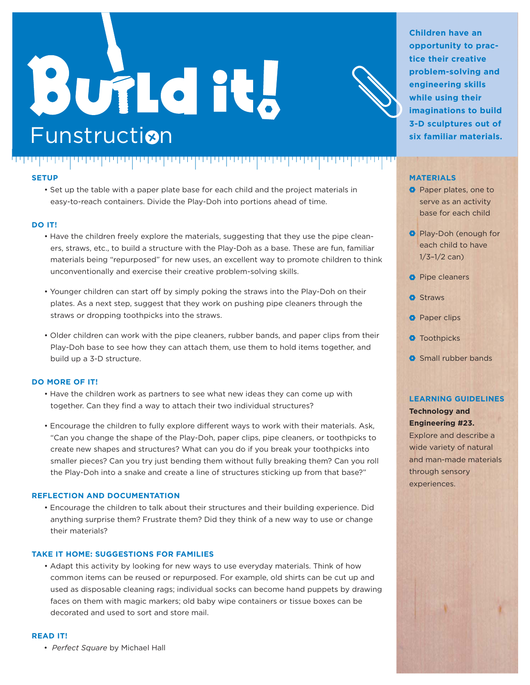## **Build it. Funstruction**

الالتالا الارتداع الالتا



بابانا بابانا البابا

• Set up the table with a paper plate base for each child and the project materials in easy-to-reach containers. Divide the Play-Doh into portions ahead of time.

#### **DO IT!**

• Have the children freely explore the materials, suggesting that they use the pipe cleaners, straws, etc., to build a structure with the Play-Doh as a base. These are fun, familiar materials being "repurposed" for new uses, an excellent way to promote children to think unconventionally and exercise their creative problem-solving skills.

<u>TITLE TITLE</u>

- Younger children can start off by simply poking the straws into the Play-Doh on their plates. As a next step, suggest that they work on pushing pipe cleaners through the straws or dropping toothpicks into the straws.
- Older children can work with the pipe cleaners, rubber bands, and paper clips from their Play-Doh base to see how they can attach them, use them to hold items together, and build up a 3-D structure.

#### **DO MORE OF IT!**

- Have the children work as partners to see what new ideas they can come up with together. Can they find a way to attach their two individual structures?
- Encourage the children to fully explore different ways to work with their materials. Ask, "Can you change the shape of the Play-Doh, paper clips, pipe cleaners, or toothpicks to create new shapes and structures? What can you do if you break your toothpicks into smaller pieces? Can you try just bending them without fully breaking them? Can you roll the Play-Doh into a snake and create a line of structures sticking up from that base?"

#### **REFLECTION AND DOCUMENTATION**

• Encourage the children to talk about their structures and their building experience. Did anything surprise them? Frustrate them? Did they think of a new way to use or change their materials?

#### **TAKE IT HOME: SUGGESTIONS FOR FAMILIES**

• Adapt this activity by looking for new ways to use everyday materials. Think of how common items can be reused or repurposed. For example, old shirts can be cut up and used as disposable cleaning rags; individual socks can become hand puppets by drawing faces on them with magic markers; old baby wipe containers or tissue boxes can be decorated and used to sort and store mail.

#### **READ IT!**

• *Perfect Square* by Michael Hall

**Children have an opportunity to practice their creative problem-solving and engineering skills while using their imaginations to build 3-D sculptures out of six familiar materials.**

#### **MATERIALS**

- **O** Paper plates, one to serve as an activity base for each child
- **Play-Doh (enough for** each child to have  $1/3 - 1/2$  can)
- **Pipe cleaners**
- **O** Straws
- **O** Paper clips
- **O** Toothpicks
- **Small rubber bands**

#### **LEARNING GUIDELINES**

**Technology and Engineering #23.** 

Explore and describe a wide variety of natural and man-made materials through sensory experiences.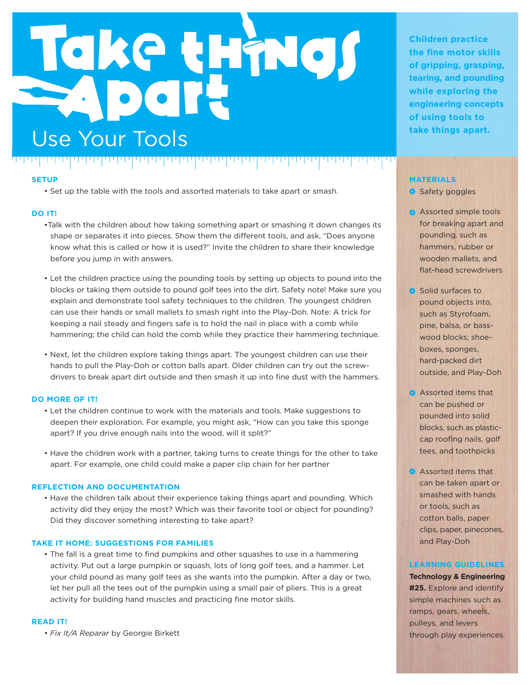## Take things Use Your Tools **and the USE Your Tools** الارتال الاتالات

#### **SETUP**

• Set up the table with the tools and assorted materials to take apart or smash.

#### **DO IT!**

- Talk with the children about how taking something apart or smashing it down changes its shape or separates it into pieces. Show them the different tools, and ask, "Does anyone know what this is called or how it is used?" Invite the children to share their knowledge before you jump in with answers.
- Let the children practice using the pounding tools by setting up objects to pound into the blocks or taking them outside to pound golf tees into the dirt. Safety note! Make sure you explain and demonstrate tool safety techniques to the children. The youngest children can use their hands or small mallets to smash right into the Play-Doh. Note: A trick for keeping a nail steady and fingers safe is to hold the nail in place with a comb while hammering; the child can hold the comb while they practice their hammering technique.
- Next, let the children explore taking things apart. The youngest children can use their hands to pull the Play-Doh or cotton balls apart. Older children can try out the screwdrivers to break apart dirt outside and then smash it up into fine dust with the hammers.

#### **DO MORE OF IT!**

- Let the children continue to work with the materials and tools. Make suggestions to deepen their exploration. For example, you might ask, "How can you take this sponge apart? If you drive enough nails into the wood, will it split?"
- Have the children work with a partner, taking turns to create things for the other to take apart. For example, one child could make a paper clip chain for her partner

#### **REFLECTION AND DOCUMENTATION**

• Have the children talk about their experience taking things apart and pounding. Which activity did they enjoy the most? Which was their favorite tool or object for pounding? Did they discover something interesting to take apart?

#### **TAKE IT HOME: SUGGESTIONS FOR FAMILIES**

• The fall is a great time to find pumpkins and other squashes to use in a hammering activity. Put out a large pumpkin or squash, lots of long golf tees, and a hammer. Let your child pound as many golf tees as she wants into the pumpkin. After a day or two, let her pull all the tees out of the pumpkin using a small pair of pliers. This is a great activity for building hand muscles and practicing fine motor skills.

#### **READ IT!**

• Fix It/A Reparar by Georgie Birkett

**Children practice the fine motor skills of gripping, grasping, tearing, and pounding while exploring the engineering concepts of using tools to** 

#### **MATERIALS**

- Safety goggles
- **Assorted simple tools** for breaking apart and pounding, such as hammers, rubber or wooden mallets, and flat-head screwdrivers
- Solid surfaces to pound objects into, such as Styrofoam, pine, balsa, or basswood blocks; shoeboxes, sponges, hard-packed dirt outside, and Play-Doh
- Assorted items that can be pushed or pounded into solid blocks, such as plasticcap roofing nails, golf tees, and toothpicks
- Assorted items that can be taken apart or smashed with hands or tools, such as cotton balls, paper clips, paper, pinecones, and Play-Doh

#### **LEARNING GUIDELINES**

**Technology & Engineering #25.** Explore and identify simple machines such as ramps, gears, wheels, pulleys, and levers through play experiences.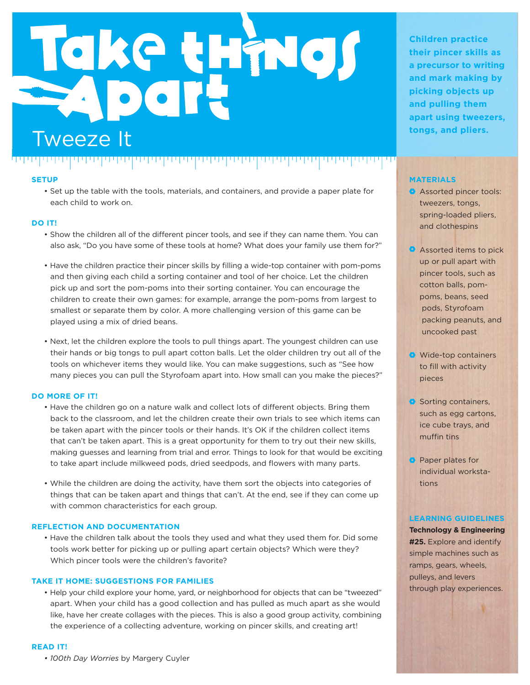# Take things **tongs, and pliers.** Tweeze It

#### **SETUP**

• Set up the table with the tools, materials, and containers, and provide a paper plate for each child to work on.

#### **DO IT!**

- Show the children all of the different pincer tools, and see if they can name them. You can also ask, "Do you have some of these tools at home? What does your family use them for?"
- Have the children practice their pincer skills by filling a wide-top container with pom-poms and then giving each child a sorting container and tool of her choice. Let the children pick up and sort the pom-poms into their sorting container. You can encourage the children to create their own games: for example, arrange the pom-poms from largest to smallest or separate them by color. A more challenging version of this game can be played using a mix of dried beans.
- Next, let the children explore the tools to pull things apart. The youngest children can use their hands or big tongs to pull apart cotton balls. Let the older children try out all of the tools on whichever items they would like. You can make suggestions, such as "See how many pieces you can pull the Styrofoam apart into. How small can you make the pieces?"

#### **DO MORE OF IT!**

- Have the children go on a nature walk and collect lots of different objects. Bring them  $\,$ back to the classroom, and let the children create their own trials to see which items can be taken apart with the pincer tools or their hands. It's OK if the children collect items that can't be taken apart. This is a great opportunity for them to try out their new skills, making guesses and learning from trial and error. Things to look for that would be exciting to take apart include milkweed pods, dried seedpods, and flowers with many parts.
- While the children are doing the activity, have them sort the objects into categories of things that can be taken apart and things that can't. At the end, see if they can come up with common characteristics for each group.

#### **REFLECTION AND DOCUMENTATION**

• Have the children talk about the tools they used and what they used them for. Did some tools work better for picking up or pulling apart certain objects? Which were they? Which pincer tools were the children's favorite?

#### **TAKE IT HOME: SUGGESTIONS FOR FAMILIES**

• Help your child explore your home, yard, or neighborhood for objects that can be "tweezed" apart. When your child has a good collection and has pulled as much apart as she would like, have her create collages with the pieces. This is also a good group activity, combining the experience of a collecting adventure, working on pincer skills, and creating art!

#### **READ IT!**

• 100th Day Worries by Margery Cuyler

**Children practice their pincer skills as a precursor to writing and mark making by picking objects up and pulling them apart using tweezers,** 

#### **MATERIALS**

- Assorted pincer tools: tweezers, tongs, spring-loaded pliers, and clothespins
- **Assorted items to pick** up or pull apart with pincer tools, such as cotton balls, pompoms, beans, seed pods, Styrofoam packing peanuts, and uncooked past
- Wide-top containers to fill with activity pieces
- Sorting containers, such as egg cartons, ice cube trays, and muffin tins
- **Paper plates for** individual workstations

#### **LEARNING GUIDELINES**

**Technology & Engineering #25.** Explore and identify simple machines such as ramps, gears, wheels, pulleys, and levers through play experiences.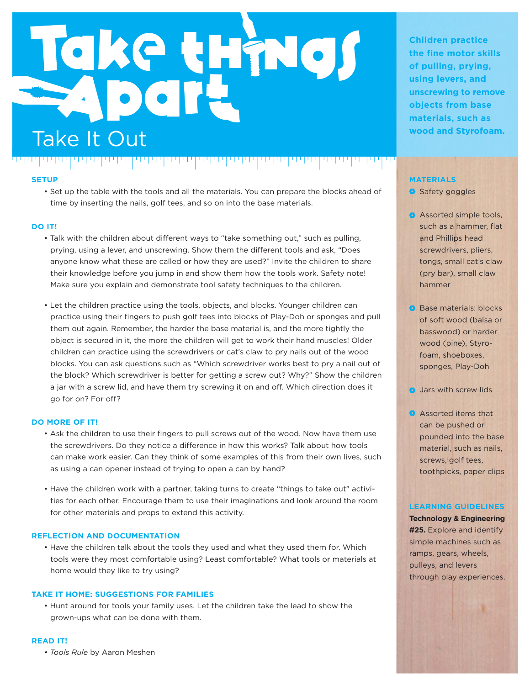## Take things Take It Out **Calculation Calculation Calculation Take It Out** فالماسمة ومسارقتها والمتحدة والمتحاسبة والمتحدة والمتحافل الاراباري

#### **SETUP**

• Set up the table with the tools and all the materials. You can prepare the blocks ahead of time by inserting the nails, golf tees, and so on into the base materials.

#### **DO IT!**

- Talk with the children about different ways to "take something out," such as pulling, prying, using a lever, and unscrewing. Show them the different tools and ask, "Does anyone know what these are called or how they are used?" Invite the children to share their knowledge before you jump in and show them how the tools work. Safety note! Make sure you explain and demonstrate tool safety techniques to the children.
- Let the children practice using the tools, objects, and blocks. Younger children can practice using their fingers to push golf tees into blocks of Play-Doh or sponges and pull them out again. Remember, the harder the base material is, and the more tightly the object is secured in it, the more the children will get to work their hand muscles! Older children can practice using the screwdrivers or cat's claw to pry nails out of the wood blocks. You can ask questions such as "Which screwdriver works best to pry a nail out of the block? Which screwdriver is better for getting a screw out? Why?" Show the children a jar with a screw lid, and have them try screwing it on and off. Which direction does it go for on? For off?

#### **DO MORE OF IT!**

- Ask the children to use their fingers to pull screws out of the wood. Now have them use the screwdrivers. Do they notice a difference in how this works? Talk about how tools can make work easier. Can they think of some examples of this from their own lives, such as using a can opener instead of trying to open a can by hand?
- Have the children work with a partner, taking turns to create "things to take out" activities for each other. Encourage them to use their imaginations and look around the room for other materials and props to extend this activity.

#### **REFLECTION AND DOCUMENTATION**

• Have the children talk about the tools they used and what they used them for. Which tools were they most comfortable using? Least comfortable? What tools or materials at home would they like to try using?

#### **TAKE IT HOME: SUGGESTIONS FOR FAMILIES**

• Hunt around for tools your family uses. Let the children take the lead to show the grown-ups what can be done with them.

**Children practice the fine motor skills of pulling, prying, using levers, and unscrewing to remove objects from base materials, such as** 

#### **MATERIALS**

- Safety goggles
- Assorted simple tools, such as a hammer, flat and Phillips head screwdrivers, pliers, tongs, small cat's claw (pry bar), small claw hammer
- **Base materials: blocks** of soft wood (balsa or basswood) or harder wood (pine), Styrofoam, shoeboxes, sponges, Play-Doh
- **Jars with screw lids**
- Assorted items that can be pushed or pounded into the base material, such as nails, screws, golf tees, toothpicks, paper clips

#### **LEARNING GUIDELINES**

**Technology & Engineering #25.** Explore and identify simple machines such as ramps, gears, wheels, pulleys, and levers through play experiences.

#### **READ IT!**

*• Tools Rule by Aaron Meshen*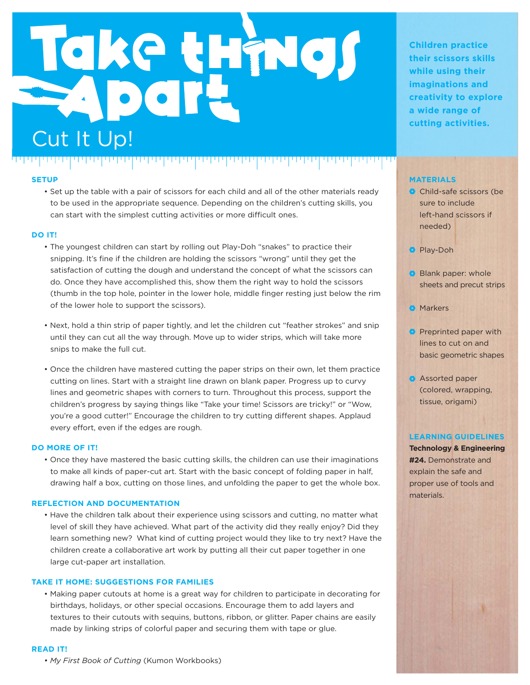# Take things Cut It Up!

#### **SETUP**

فالمارك المراجعات والمتمر المالك والمتحر والمتحل المالك والمتحرك والمحراف

• Set up the table with a pair of scissors for each child and all of the other materials ready to be used in the appropriate sequence. Depending on the children's cutting skills, you can start with the simplest cutting activities or more difficult ones.

#### **DO IT!**

- The youngest children can start by rolling out Play-Doh "snakes" to practice their snipping. It's fine if the children are holding the scissors "wrong" until they get the satisfaction of cutting the dough and understand the concept of what the scissors can do. Once they have accomplished this, show them the right way to hold the scissors (thumb in the top hole, pointer in the lower hole, middle finger resting just below the rim of the lower hole to support the scissors).
- Next, hold a thin strip of paper tightly, and let the children cut "feather strokes" and snip until they can cut all the way through. Move up to wider strips, which will take more snips to make the full cut.
- Once the children have mastered cutting the paper strips on their own, let them practice cutting on lines. Start with a straight line drawn on blank paper. Progress up to curvy lines and geometric shapes with corners to turn. Throughout this process, support the children's progress by saying things like "Take your time! Scissors are tricky!" or "Wow, you're a good cutter!" Encourage the children to try cutting different shapes. Applaud every effort, even if the edges are rough.

#### **DO MORE OF IT!**

• Once they have mastered the basic cutting skills, the children can use their imaginations to make all kinds of paper-cut art. Start with the basic concept of folding paper in half, drawing half a box, cutting on those lines, and unfolding the paper to get the whole box.

#### **REFLECTION AND DOCUMENTATION**

• Have the children talk about their experience using scissors and cutting, no matter what level of skill they have achieved. What part of the activity did they really enjoy? Did they learn something new? What kind of cutting project would they like to try next? Have the children create a collaborative art work by putting all their cut paper together in one large cut-paper art installation.

#### **TAKE IT HOME: SUGGESTIONS FOR FAMILIES**

• Making paper cutouts at home is a great way for children to participate in decorating for birthdays, holidays, or other special occasions. Encourage them to add layers and textures to their cutouts with sequins, buttons, ribbon, or glitter. Paper chains are easily made by linking strips of colorful paper and securing them with tape or glue.

#### **READ IT!**

*• My First Book of Cutting* (Kumon Workbooks)

**Children practice their scissors skills while using their imaginations and creativity to explore a wide range of cutting activities.**

#### **MATERIALS**

- **Child-safe scissors (be** sure to include left-hand scissors if needed)
- **Play-Doh**
- Blank paper: whole sheets and precut strips
- **Markers**
- **Preprinted paper with** lines to cut on and basic geometric shapes
- **Assorted paper** (colored, wrapping, tissue, origami)

#### **LEARNING GUIDELINES**

**Technology & Engineering #24.** Demonstrate and explain the safe and proper use of tools and materials.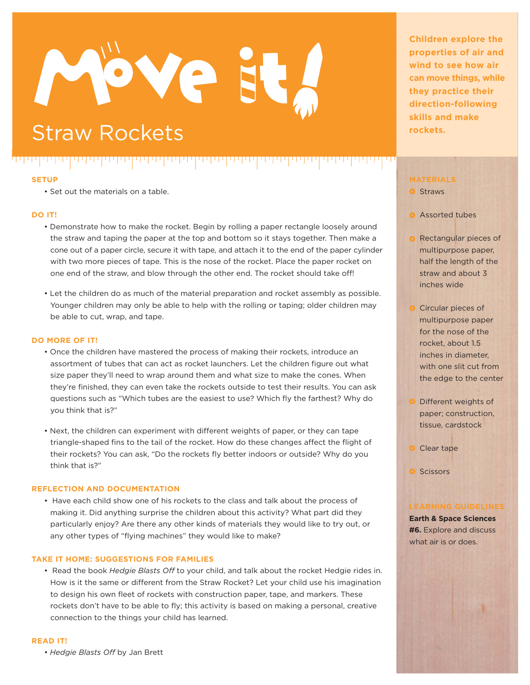# Ve

تاليا والإناداريات

### **Straw Rockets Straw Rockets**

#### **SETUP**

لاستراستها والمتراسات

• Set out the materials on a table.

יני ויירוי ויירי

#### **DO IT!**

• Demonstrate how to make the rocket. Begin by rolling a paper rectangle loosely around the straw and taping the paper at the top and bottom so it stays together. Then make a cone out of a paper circle, secure it with tape, and attach it to the end of the paper cylinder with two more pieces of tape. This is the nose of the rocket. Place the paper rocket on one end of the straw, and blow through the other end. The rocket should take off!

פיפיפיפיפי

• Let the children do as much of the material preparation and rocket assembly as possible. Younger children may only be able to help with the rolling or taping; older children may be able to cut, wrap, and tape.

#### **DO MORE OF IT!**

- Once the children have mastered the process of making their rockets, introduce an assortment of tubes that can act as rocket launchers. Let the children figure out what size paper they'll need to wrap around them and what size to make the cones. When they're finished, they can even take the rockets outside to test their results. You can ask questions such as "Which tubes are the easiest to use? Which fly the farthest? Why do you think that is?"
- Next, the children can experiment with different weights of paper, or they can tape triangle-shaped fins to the tail of the rocket. How do these changes affect the flight of their rockets? You can ask, "Do the rockets fly better indoors or outside? Why do you think that is?"

#### **REFLECTION AND DOCUMENTATION**

• Have each child show one of his rockets to the class and talk about the process of making it. Did anything surprise the children about this activity? What part did they particularly enjoy? Are there any other kinds of materials they would like to try out, or any other types of "flying machines" they would like to make?

#### **TAKE IT HOME: SUGGESTIONS FOR FAMILIES**

• Read the book *Hedgie Blasts Off* to your child, and talk about the rocket Hedgie rides in. How is it the same or different from the Straw Rocket? Let your child use his imagination to design his own fleet of rockets with construction paper, tape, and markers. These rockets don't have to be able to fly; this activity is based on making a personal, creative connection to the things your child has learned.

#### **READ IT!**

<u>• *Hedgie Blasts Off* by Jan Brett</u>

**Children explore the properties of air and wind to see how air can move things, while they practice their direction-following skills and make** 

#### **MATERIALS**

#### **Straws**

- **Assorted tubes**
- **Rectangular pieces of** multipurpose paper, half the length of the straw and about 3 inches wide
- Circular pieces of multipurpose paper for the nose of the rocket, about 1.5 inches in diameter with one slit cut from the edge to the center
- **Different weights of** paper; construction, tissue, cardstock
- Clear tape
- **C** Scissors

**Earth & Space Sciences #6.** Explore and discuss what air is or does.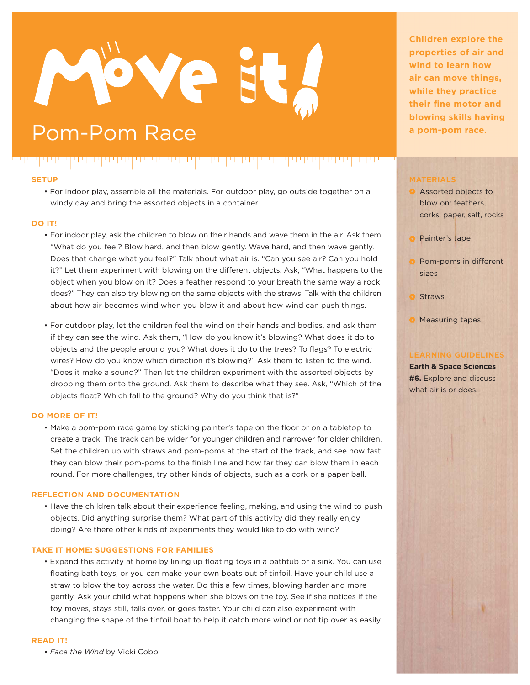# Ve

,,,,,,,,,,,,,

### Pom-Pom Race and the state of the state of the state of the state of the state of the state of the state of the state of the state of the state of the state of the state of the state of the state of the state of the state

ידיפין יפויני

#### **SETUP**

لاستراست والمتوافقة

• For indoor play, assemble all the materials. For outdoor play, go outside together on a windy day and bring the assorted objects in a container.

الأرادا والمرادات

#### **DO IT!**

- For indoor play, ask the children to blow on their hands and wave them in the air. Ask them, "What do you feel? Blow hard, and then blow gently. Wave hard, and then wave gently. Does that change what you feel?" Talk about what air is. "Can you see air? Can you hold it?" Let them experiment with blowing on the different objects. Ask, "What happens to the object when you blow on it? Does a feather respond to your breath the same way a rock does?" They can also try blowing on the same objects with the straws. Talk with the children about how air becomes wind when you blow it and about how wind can push things.
- For outdoor play, let the children feel the wind on their hands and bodies, and ask them if they can see the wind. Ask them, "How do you know it's blowing? What does it do to objects and the people around you? What does it do to the trees? To flags? To electric wires? How do you know which direction it's blowing?" Ask them to listen to the wind. "Does it make a sound?" Then let the children experiment with the assorted objects by dropping them onto the ground. Ask them to describe what they see. Ask, "Which of the objects float? Which fall to the ground? Why do you think that is?"

#### **DO MORE OF IT!**

• Make a pom-pom race game by sticking painter's tape on the floor or on a tabletop to create a track. The track can be wider for younger children and narrower for older children. Set the children up with straws and pom-poms at the start of the track, and see how fast they can blow their pom-poms to the finish line and how far they can blow them in each round. For more challenges, try other kinds of objects, such as a cork or a paper ball.

#### **REFLECTION AND DOCUMENTATION**

• Have the children talk about their experience feeling, making, and using the wind to push objects. Did anything surprise them? What part of this activity did they really enjoy doing? Are there other kinds of experiments they would like to do with wind?

#### **TAKE IT HOME: SUGGESTIONS FOR FAMILIES**

• Expand this activity at home by lining up floating toys in a bathtub or a sink. You can use floating bath toys, or you can make your own boats out of tinfoil. Have your child use a straw to blow the toy across the water. Do this a few times, blowing harder and more gently. Ask your child what happens when she blows on the toy. See if she notices if the toy moves, stays still, falls over, or goes faster. Your child can also experiment with changing the shape of the tinfoil boat to help it catch more wind or not tip over as easily.

#### **READ IT!**

• Face the Wind by Vicki Cobb

**Children explore the properties of air and wind to learn how air can move things, while they practice their fine motor and blowing skills having** 

#### **MATERIALS**

- Assorted objects to blow on: feathers, corks, paper, salt, rocks
- **Painter's tape**
- **Pom-poms in different** sizes
- Straws
- **Measuring tapes**

#### **LEARNING GUIDELINES**

**Earth & Space Sciences #6.** Explore and discuss what air is or does.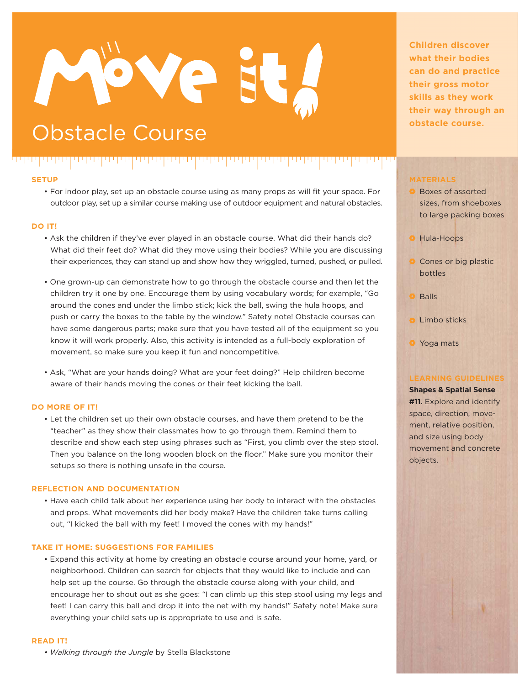# Ve

### **Obstacle Course Course Course Course Course Course Course Course Course Course Course Course Course Course Course Course Course Course Course Course Course Course Course Cours**

#### لاستراست والمتوافقة بالإسام والمرامات الإلالات والمرامات ,,,,,,,,,,,,,

#### **SETUP**

• For indoor play, set up an obstacle course using as many props as will fit your space. For outdoor play, set up a similar course making use of outdoor equipment and natural obstacles.

#### **DO IT!**

- Ask the children if they've ever played in an obstacle course. What did their hands do? What did their feet do? What did they move using their bodies? While you are discussing their experiences, they can stand up and show how they wriggled, turned, pushed, or pulled.
- One grown-up can demonstrate how to go through the obstacle course and then let the children try it one by one. Encourage them by using vocabulary words; for example, "Go around the cones and under the limbo stick; kick the ball, swing the hula hoops, and push or carry the boxes to the table by the window." Safety note! Obstacle courses can have some dangerous parts; make sure that you have tested all of the equipment so you know it will work properly. Also, this activity is intended as a full-body exploration of movement, so make sure you keep it fun and noncompetitive.
- Ask, "What are your hands doing? What are your feet doing?" Help children become aware of their hands moving the cones or their feet kicking the ball.

#### **DO MORE OF IT!**

• Let the children set up their own obstacle courses, and have them pretend to be the "teacher" as they show their classmates how to go through them. Remind them to describe and show each step using phrases such as "First, you climb over the step stool. Then you balance on the long wooden block on the floor." Make sure you monitor their setups so there is nothing unsafe in the course.

#### **REFLECTION AND DOCUMENTATION**

• Have each child talk about her experience using her body to interact with the obstacles and props. What movements did her body make? Have the children take turns calling out, "I kicked the ball with my feet! I moved the cones with my hands!"

#### **TAKE IT HOME: SUGGESTIONS FOR FAMILIES**

• Expand this activity at home by creating an obstacle course around your home, yard, or neighborhood. Children can search for objects that they would like to include and can help set up the course. Go through the obstacle course along with your child, and encourage her to shout out as she goes: "I can climb up this step stool using my legs and feet! I can carry this ball and drop it into the net with my hands!" Safety note! Make sure everything your child sets up is appropriate to use and is safe.

#### **READ IT!**

*• Walking through the Jungle* by Stella Blackstone

**Children discover what their bodies can do and practice their gross motor skills as they work their way through an** 

#### **MATERIALS**

- **Boxes of assorted** sizes, from shoeboxes to large packing boxes
- **O** Hula-Hoops
- Cones or big plastic bottles
- **Balls**
- **C** Limbo sticks
- **O** Yoga mats

#### **LEARNING GUIDELINES**

**Shapes & Spatial Sense #11.** Explore and identify space, direction, movement, relative position, and size using body movement and concrete objects.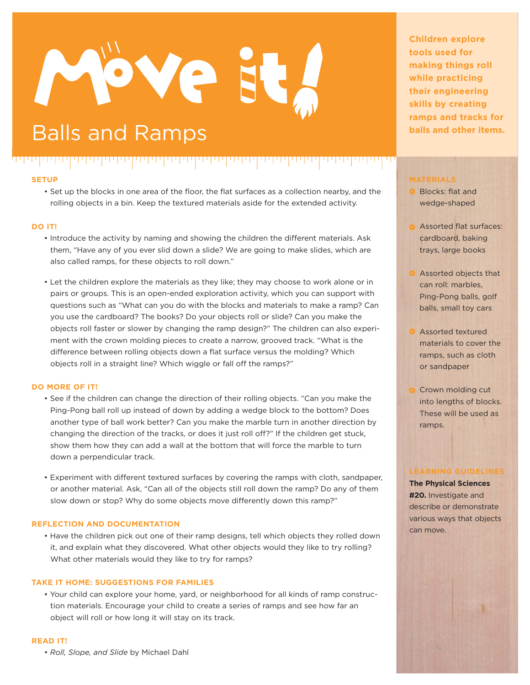# ove

### **Balls and Ramps balls and other items.**

فالماصلة والمادان والماضية والماد المائي والماضية والماريات

#### **SETUP**

• Set up the blocks in one area of the floor, the flat surfaces as a collection nearby, and the rolling objects in a bin. Keep the textured materials aside for the extended activity.

الإلالا والأرداد

#### **DO IT!**

- Introduce the activity by naming and showing the children the different materials. Ask them, "Have any of you ever slid down a slide? We are going to make slides, which are also called ramps, for these objects to roll down."
- Let the children explore the materials as they like; they may choose to work alone or in pairs or groups. This is an open-ended exploration activity, which you can support with questions such as "What can you do with the blocks and materials to make a ramp? Can you use the cardboard? The books? Do your objects roll or slide? Can you make the objects roll faster or slower by changing the ramp design?" The children can also experiment with the crown molding pieces to create a narrow, grooved track. "What is the difference between rolling objects down a flat surface versus the molding? Which objects roll in a straight line? Which wiggle or fall off the ramps?"

#### **DO MORE OF IT!**

- See if the children can change the direction of their rolling objects. "Can you make the Ping-Pong ball roll up instead of down by adding a wedge block to the bottom? Does another type of ball work better? Can you make the marble turn in another direction by changing the direction of the tracks, or does it just roll off?" If the children get stuck, show them how they can add a wall at the bottom that will force the marble to turn down a perpendicular track.
- Experiment with different textured surfaces by covering the ramps with cloth, sandpaper, or another material. Ask, "Can all of the objects still roll down the ramp? Do any of them slow down or stop? Why do some objects move differently down this ramp?"

#### **REFLECTION AND DOCUMENTATION**

• Have the children pick out one of their ramp designs, tell which objects they rolled down it, and explain what they discovered. What other objects would they like to try rolling? What other materials would they like to try for ramps?

#### **TAKE IT HOME: SUGGESTIONS FOR FAMILIES**

• Your child can explore your home, yard, or neighborhood for all kinds of ramp construction materials. Encourage your child to create a series of ramps and see how far an object will roll or how long it will stay on its track.

#### **READ IT!**

 $\bullet$  Roll, Slope, and Slide by Michael Dahl

**Children explore tools used for making things roll while practicing their engineering skills by creating ramps and tracks for** 

#### **MATERIALS**

- **Blocks: flat and** wedge-shaped
- **Assorted flat surfaces:** cardboard, baking trays, large books
- **Assorted objects that** can roll: marbles, Ping-Pong balls, golf balls, small toy cars
- **Assorted textured** materials to cover the ramps, such as cloth or sandpaper
- Crown molding cut into lengths of blocks. These will be used as ramps.

#### **LEARNING GUIDELINES**

**The Physical Sciences #20.** Investigate and describe or demonstrate various ways that objects can move.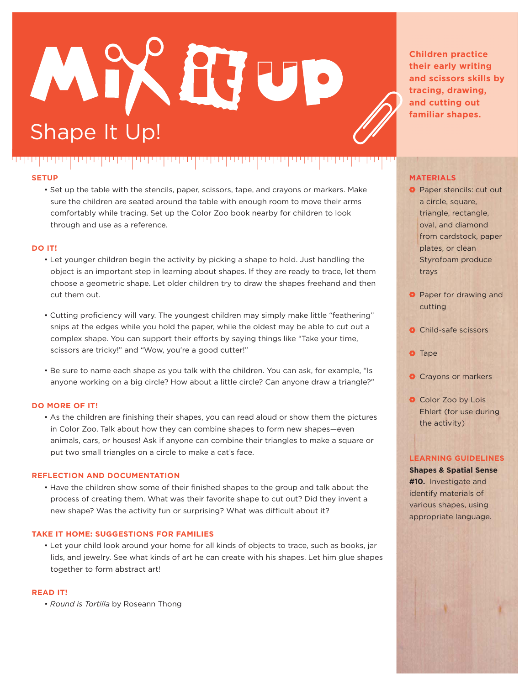## XHV Shape It Up!

<u>u wapatifu wa Tuzo ya M</u>

ן ידי פין ידי פי

**SETUP**

ינינין יוין יוי

• Set up the table with the stencils, paper, scissors, tape, and crayons or markers. Make sure the children are seated around the table with enough room to move their arms comfortably while tracing. Set up the Color Zoo book nearby for children to look through and use as a reference.

- 1999 1999 1

#### **DO IT!**

- Let younger children begin the activity by picking a shape to hold. Just handling the object is an important step in learning about shapes. If they are ready to trace, let them choose a geometric shape. Let older children try to draw the shapes freehand and then cut them out.
- Cutting proficiency will vary. The youngest children may simply make little "feathering" snips at the edges while you hold the paper, while the oldest may be able to cut out a complex shape. You can support their efforts by saying things like "Take your time, scissors are tricky!" and "Wow, you're a good cutter!"
- Be sure to name each shape as you talk with the children. You can ask, for example, "Is anyone working on a big circle? How about a little circle? Can anyone draw a triangle?"

#### **DO MORE OF IT!**

• As the children are finishing their shapes, you can read aloud or show them the pictures in Color Zoo. Talk about how they can combine shapes to form new shapes—even animals, cars, or houses! Ask if anyone can combine their triangles to make a square or put two small triangles on a circle to make a cat's face.

#### **REFLECTION AND DOCUMENTATION**

• Have the children show some of their finished shapes to the group and talk about the process of creating them. What was their favorite shape to cut out? Did they invent a new shape? Was the activity fun or surprising? What was difficult about it?

#### **TAKE IT HOME: SUGGESTIONS FOR FAMILIES**

• Let your child look around your home for all kinds of objects to trace, such as books, jar lids, and jewelry. See what kinds of art he can create with his shapes. Let him glue shapes together to form abstract art!

#### **READ IT!**

 $\bullet$  Round is Tortilla by Roseann Thong

**Children practice their early writing and scissors skills by tracing, drawing, and cutting out familiar shapes.**

#### **MATERIALS**

- **O** Paper stencils: cut out a circle, square, triangle, rectangle, oval, and diamond from cardstock, paper plates, or clean Styrofoam produce trays
- **Paper for drawing and** cutting
- **O** Child-safe scissors
- **O** Tape
- **O** Crayons or markers
- Color Zoo by Lois Ehlert (for use during the activity)

#### **LEARNING GUIDELINES**

**Shapes & Spatial Sense #10.** Investigate and identify materials of various shapes, using appropriate language.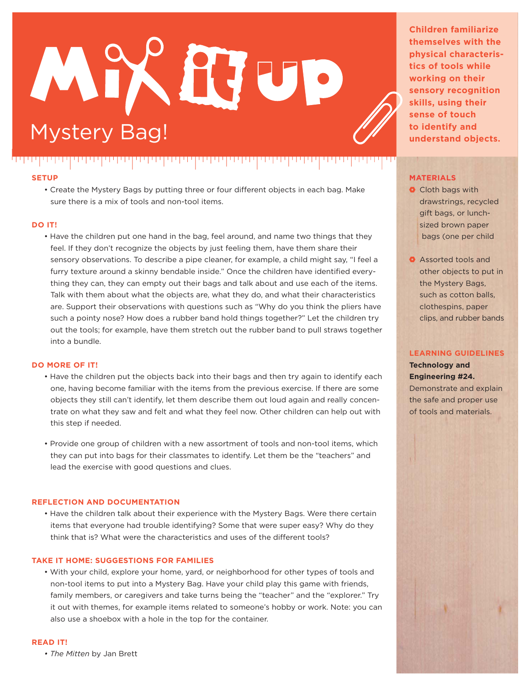## $\mathbf{U}$ ystery Bag!

. . . . . . . . . . . . . .

#### **SETUP**

الالتا يتاليا بال

• Create the Mystery Bags by putting three or four different objects in each bag. Make sure there is a mix of tools and non-tool items.

#### **DO IT!**

• Have the children put one hand in the bag, feel around, and name two things that they feel. If they don't recognize the objects by just feeling them, have them share their sensory observations. To describe a pipe cleaner, for example, a child might say, "I feel a furry texture around a skinny bendable inside." Once the children have identified everything they can, they can empty out their bags and talk about and use each of the items. Talk with them about what the objects are, what they do, and what their characteristics are. Support their observations with questions such as "Why do you think the pliers have such a pointy nose? How does a rubber band hold things together?" Let the children try out the tools; for example, have them stretch out the rubber band to pull straws together into a bundle.

#### **DO MORE OF IT!**

- Have the children put the objects back into their bags and then try again to identify each one, having become familiar with the items from the previous exercise. If there are some objects they still can't identify, let them describe them out loud again and really concentrate on what they saw and felt and what they feel now. Other children can help out with this step if needed.
- Provide one group of children with a new assortment of tools and non-tool items, which they can put into bags for their classmates to identify. Let them be the "teachers" and lead the exercise with good questions and clues.

#### **REFLECTION AND DOCUMENTATION**

• Have the children talk about their experience with the Mystery Bags. Were there certain items that everyone had trouble identifying? Some that were super easy? Why do they think that is? What were the characteristics and uses of the different tools?

#### **TAKE IT HOME: SUGGESTIONS FOR FAMILIES**

• With your child, explore your home, yard, or neighborhood for other types of tools and non-tool items to put into a Mystery Bag. Have your child play this game with friends, family members, or caregivers and take turns being the "teacher" and the "explorer." Try it out with themes, for example items related to someone's hobby or work. Note: you can also use a shoebox with a hole in the top for the container.

#### **READ IT!**

• The Mitten by Jan Brett

**Children familiarize themselves with the physical characteristics of tools while working on their sensory recognition skills, using their sense of touch to identify and understand objects.**

#### **MATERIALS**

- **O** Cloth bags with drawstrings, recycled gift bags, or lunchsized brown paper bags (one per child
- **Assorted tools and** other objects to put in the Mystery Bags, such as cotton balls, clothespins, paper clips, and rubber bands

#### **LEARNING GUIDELINES**

**Technology and Engineering #24.** Demonstrate and explain the safe and proper use of tools and materials.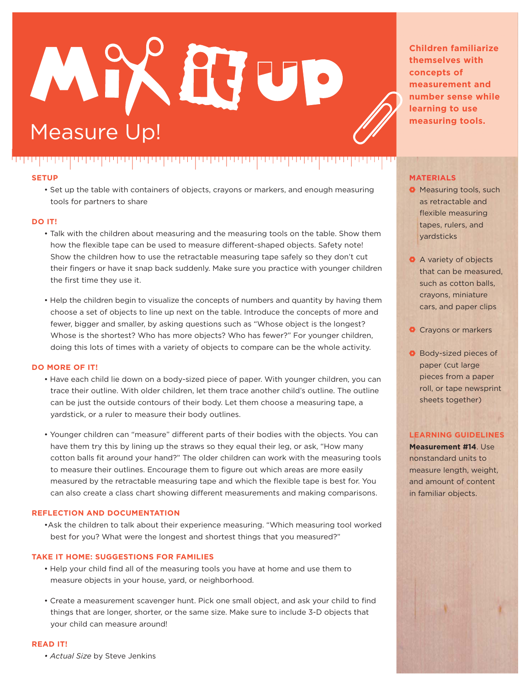## X HV U Measure Up!

ינין יוין יוין יוי

#### **SETUP**

י פוני ן יוי וי פו

יניויין יויויני

• Set up the table with containers of objects, crayons or markers, and enough measuring tools for partners to share

- 1999 999 99

#### **DO IT!**

- Talk with the children about measuring and the measuring tools on the table. Show them how the flexible tape can be used to measure different-shaped objects. Safety note! Show the children how to use the retractable measuring tape safely so they don't cut their fingers or have it snap back suddenly. Make sure you practice with younger children the first time they use it.
- Help the children begin to visualize the concepts of numbers and quantity by having them choose a set of objects to line up next on the table. Introduce the concepts of more and fewer, bigger and smaller, by asking questions such as "Whose object is the longest? Whose is the shortest? Who has more objects? Who has fewer?" For younger children, doing this lots of times with a variety of objects to compare can be the whole activity.

#### **DO MORE OF IT!**

- Have each child lie down on a body-sized piece of paper. With younger children, you can trace their outline. With older children, let them trace another child's outline. The outline can be just the outside contours of their body. Let them choose a measuring tape, a yardstick, or a ruler to measure their body outlines.
- Younger children can "measure" different parts of their bodies with the objects. You can have them try this by lining up the straws so they equal their leg, or ask, "How many cotton balls fit around your hand?" The older children can work with the measuring tools to measure their outlines. Encourage them to figure out which areas are more easily measured by the retractable measuring tape and which the flexible tape is best for. You can also create a class chart showing different measurements and making comparisons.

#### **REFLECTION AND DOCUMENTATION**

• Ask the children to talk about their experience measuring. "Which measuring tool worked best for you? What were the longest and shortest things that you measured?"

#### **TAKE IT HOME: SUGGESTIONS FOR FAMILIES**

- Help your child find all of the measuring tools you have at home and use them to measure objects in your house, yard, or neighborhood.
- Create a measurement scavenger hunt. Pick one small object, and ask your child to find things that are longer, shorter, or the same size. Make sure to include 3-D objects that your child can measure around!

#### **READ IT!**

*• Actual Size by Steve Jenkins* 

**Children familiarize themselves with concepts of measurement and number sense while learning to use measuring tools.**

#### **MATERIALS**

- **O** Measuring tools, such as retractable and flexible measuring tapes, rulers, and yardsticks
- **A** variety of objects that can be measured, such as cotton balls, crayons, miniature cars, and paper clips
- **O** Crayons or markers
- **Body-sized pieces of** paper (cut large pieces from a paper roll, or tape newsprint sheets together)

#### **LEARNING GUIDELINES**

**Measurement #14**. Use nonstandard units to measure length, weight, and amount of content in familiar objects.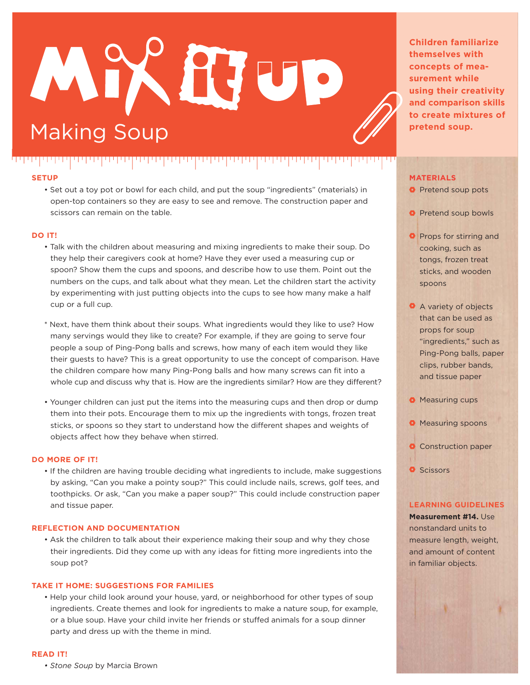## X HV U Making Soup

ترتر والمواطن والمال

#### **SETUP**

,,,,,,,,,,,,

الإلالات الالتالات

• Set out a toy pot or bowl for each child, and put the soup "ingredients" (materials) in open-top containers so they are easy to see and remove. The construction paper and scissors can remain on the table.

الإسالا والموادا

#### **DO IT!**

- Talk with the children about measuring and mixing ingredients to make their soup. Do they help their caregivers cook at home? Have they ever used a measuring cup or spoon? Show them the cups and spoons, and describe how to use them. Point out the numbers on the cups, and talk about what they mean. Let the children start the activity by experimenting with just putting objects into the cups to see how many make a half cup or a full cup.
- \* Next, have them think about their soups. What ingredients would they like to use? How many servings would they like to create? For example, if they are going to serve four people a soup of Ping-Pong balls and screws, how many of each item would they like their guests to have? This is a great opportunity to use the concept of comparison. Have the children compare how many Ping-Pong balls and how many screws can fit into a whole cup and discuss why that is. How are the ingredients similar? How are they different?
- Younger children can just put the items into the measuring cups and then drop or dump them into their pots. Encourage them to mix up the ingredients with tongs, frozen treat sticks, or spoons so they start to understand how the different shapes and weights of objects affect how they behave when stirred.

#### **DO MORE OF IT!**

• If the children are having trouble deciding what ingredients to include, make suggestions by asking, "Can you make a pointy soup?" This could include nails, screws, golf tees, and toothpicks. Or ask, "Can you make a paper soup?" This could include construction paper and tissue paper.

#### **REFLECTION AND DOCUMENTATION**

• Ask the children to talk about their experience making their soup and why they chose their ingredients. Did they come up with any ideas for fitting more ingredients into the soup pot?

#### **TAKE IT HOME: SUGGESTIONS FOR FAMILIES**

• Help your child look around your house, yard, or neighborhood for other types of soup ingredients. Create themes and look for ingredients to make a nature soup, for example, or a blue soup. Have your child invite her friends or stuffed animals for a soup dinner party and dress up with the theme in mind.

#### **READ IT!**

*• Stone Soup* by Marcia Brown

**Children familiarize themselves with concepts of measurement while using their creativity and comparison skills to create mixtures of pretend soup.**

#### **MATERIALS**

- **Pretend soup pots**
- **Pretend soup bowls**
- **Props for stirring and** cooking, such as tongs, frozen treat sticks, and wooden spoons
- A variety of objects that can be used as props for soup "ingredients," such as Ping-Pong balls, paper clips, rubber bands, and tissue paper
- **Measuring cups**
- **O** Measuring spoons
- **O** Construction paper
- **O** Scissors

#### **LEARNING GUIDELINES**

**Measurement #14.** Use nonstandard units to measure length, weight, and amount of content in familiar objects.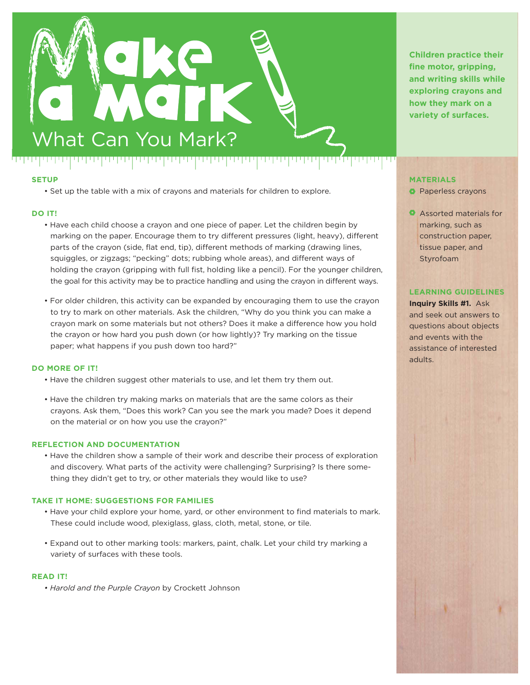

• Set up the table with a mix of crayons and materials for children to explore.

#### **DO IT!**

- Have each child choose a crayon and one piece of paper. Let the children begin by marking on the paper. Encourage them to try different pressures (light, heavy), different parts of the crayon (side, flat end, tip), different methods of marking (drawing lines, squiggles, or zigzags; "pecking" dots; rubbing whole areas), and different ways of holding the crayon (gripping with full fist, holding like a pencil). For the younger children, the goal for this activity may be to practice handling and using the crayon in different ways.
- For older children, this activity can be expanded by encouraging them to use the crayon to try to mark on other materials. Ask the children, "Why do you think you can make a crayon mark on some materials but not others? Does it make a difference how you hold the crayon or how hard you push down (or how lightly)? Try marking on the tissue paper; what happens if you push down too hard?"

#### **DO MORE OF IT!**

- Have the children suggest other materials to use, and let them try them out.
- Have the children try making marks on materials that are the same colors as their crayons. Ask them, "Does this work? Can you see the mark you made? Does it depend on the material or on how you use the crayon?"

#### **REFLECTION AND DOCUMENTATION**

• Have the children show a sample of their work and describe their process of exploration and discovery. What parts of the activity were challenging? Surprising? Is there something they didn't get to try, or other materials they would like to use?

#### **TAKE IT HOME: SUGGESTIONS FOR FAMILIES**

- Have your child explore your home, yard, or other environment to find materials to mark. These could include wood, plexiglass, glass, cloth, metal, stone, or tile.
- Expand out to other marking tools: markers, paint, chalk. Let your child try marking a variety of surfaces with these tools.

#### **READ IT!**

*• Harold and the Purple Crayon* by Crockett Johnson

**Children practice their fine motor, gripping, and writing skills while exploring crayons and how they mark on a variety of surfaces.**

#### **MATERIALS**

- **Paperless crayons**
- **Assorted materials for** marking, such as construction paper, tissue paper, and Styrofoam

#### **LEARNING GUIDELINES**

**Inquiry Skills #1.** Ask and seek out answers to questions about objects and events with the assistance of interested adults.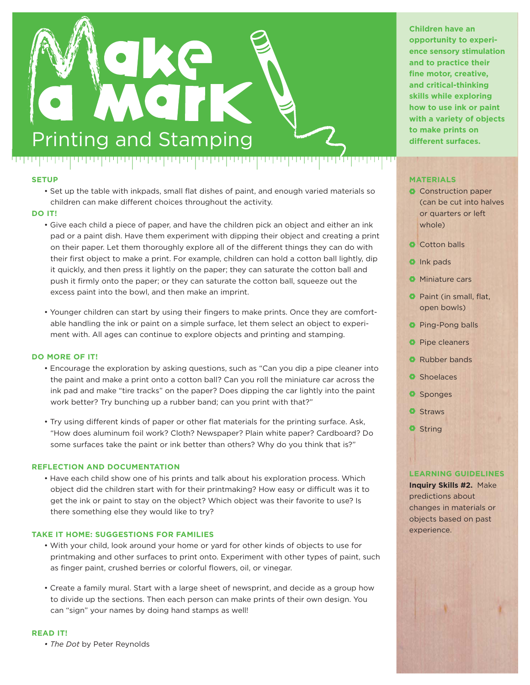

• Set up the table with inkpads, small flat dishes of paint, and enough varied materials so children can make different choices throughout the activity.

#### **DO IT!**

- Give each child a piece of paper, and have the children pick an object and either an ink pad or a paint dish. Have them experiment with dipping their object and creating a print on their paper. Let them thoroughly explore all of the different things they can do with their first object to make a print. For example, children can hold a cotton ball lightly, dip it quickly, and then press it lightly on the paper; they can saturate the cotton ball and push it firmly onto the paper; or they can saturate the cotton ball, squeeze out the excess paint into the bowl, and then make an imprint.
- Younger children can start by using their fingers to make prints. Once they are comfortable handling the ink or paint on a simple surface, let them select an object to experiment with. All ages can continue to explore objects and printing and stamping.

#### **DO MORE OF IT!**

- Encourage the exploration by asking questions, such as "Can you dip a pipe cleaner into the paint and make a print onto a cotton ball? Can you roll the miniature car across the ink pad and make "tire tracks" on the paper? Does dipping the car lightly into the paint work better? Try bunching up a rubber band; can you print with that?"
- Try using different kinds of paper or other flat materials for the printing surface. Ask, "How does aluminum foil work? Cloth? Newspaper? Plain white paper? Cardboard? Do some surfaces take the paint or ink better than others? Why do you think that is?"

#### **REFLECTION AND DOCUMENTATION**

• Have each child show one of his prints and talk about his exploration process. Which object did the children start with for their printmaking? How easy or difficult was it to get the ink or paint to stay on the object? Which object was their favorite to use? Is there something else they would like to try?

#### **TAKE IT HOME: SUGGESTIONS FOR FAMILIES**

- With your child, look around your home or yard for other kinds of objects to use for printmaking and other surfaces to print onto. Experiment with other types of paint, such as finger paint, crushed berries or colorful flowers, oil, or vinegar.
- Create a family mural. Start with a large sheet of newsprint, and decide as a group how to divide up the sections. Then each person can make prints of their own design. You can "sign" your names by doing hand stamps as well!

#### **READ IT!**

*• The Dot* by Peter Reynolds

**Children have an opportunity to experience sensory stimulation and to practice their fine motor, creative, and critical-thinking skills while exploring how to use ink or paint with a variety of objects** 

#### **MATERIALS**

ا نارا ا

- **Construction paper** (can be cut into halves or quarters or left whole)
- Cotton balls
- **O** Ink pads
- **Miniature cars**
- **Paint (in small, flat.** open bowls)
- **Ping-Pong balls**
- **Pipe cleaners**
- **Rubber bands**
- **O** Shoelaces
- **O** Sponges
- **O** Straws
- **O** String

#### **LEARNING GUIDELINES**

**Inquiry Skills #2.** Make predictions about changes in materials or objects based on past experience.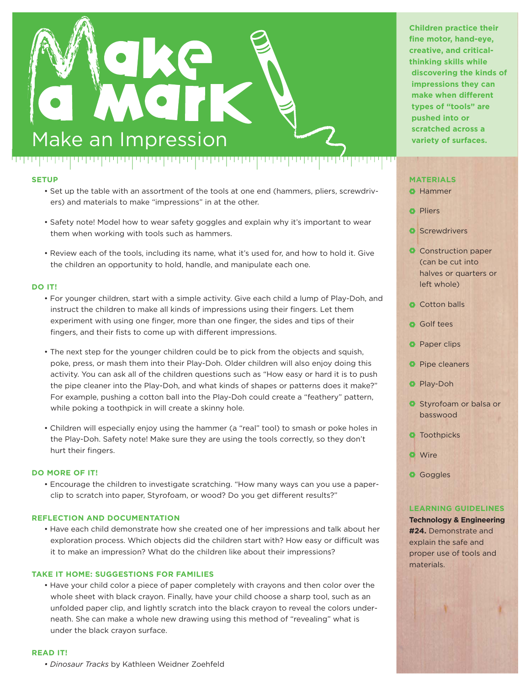

- Set up the table with an assortment of the tools at one end (hammers, pliers, screwdrivers) and materials to make "impressions" in at the other.
- Safety note! Model how to wear safety goggles and explain why it's important to wear them when working with tools such as hammers.
- Review each of the tools, including its name, what it's used for, and how to hold it. Give the children an opportunity to hold, handle, and manipulate each one.

#### **DO IT!**

- For younger children, start with a simple activity. Give each child a lump of Play-Doh, and instruct the children to make all kinds of impressions using their fingers. Let them experiment with using one finger, more than one finger, the sides and tips of their fingers, and their fists to come up with different impressions.
- The next step for the younger children could be to pick from the objects and squish, poke, press, or mash them into their Play-Doh. Older children will also enjoy doing this activity. You can ask all of the children questions such as "How easy or hard it is to push the pipe cleaner into the Play-Doh, and what kinds of shapes or patterns does it make?" For example, pushing a cotton ball into the Play-Doh could create a "feathery" pattern, while poking a toothpick in will create a skinny hole.
- Children will especially enjoy using the hammer (a "real" tool) to smash or poke holes in the Play-Doh. Safety note! Make sure they are using the tools correctly, so they don't hurt their fingers.

#### **DO MORE OF IT!**

• Encourage the children to investigate scratching. "How many ways can you use a paperclip to scratch into paper, Styrofoam, or wood? Do you get different results?"

#### **REFLECTION AND DOCUMENTATION**

• Have each child demonstrate how she created one of her impressions and talk about her exploration process. Which objects did the children start with? How easy or difficult was it to make an impression? What do the children like about their impressions?

#### **TAKE IT HOME: SUGGESTIONS FOR FAMILIES**

• Have your child color a piece of paper completely with crayons and then color over the whole sheet with black crayon. Finally, have your child choose a sharp tool, such as an unfolded paper clip, and lightly scratch into the black crayon to reveal the colors underneath. She can make a whole new drawing using this method of "revealing" what is under the black crayon surface.

#### **READ IT!**

*• Dinosaur Tracks* by Kathleen Weidner Zoehfeld

**Children practice their fine motor, hand-eye, creative, and criticalthinking skills while discovering the kinds of impressions they can make when different types of "tools" are pushed into or scratched across a**

#### **MATERIALS**

#### **O** Hammer

**O** Pliers

ا نارا ا

- **O** Screwdrivers
- Construction paper (can be cut into halves or quarters or left whole)
- Cotton balls
- Golf tees
- **Paper clips**
- **Pipe cleaners**
- **Play-Doh**
- Styrofoam or balsa or basswood
- **O** Toothpicks
- **O** Wire
- **Goggles**

#### **LEARNING GUIDELINES**

#### **Technology & Engineering #24.** Demonstrate and explain the safe and proper use of tools and materials.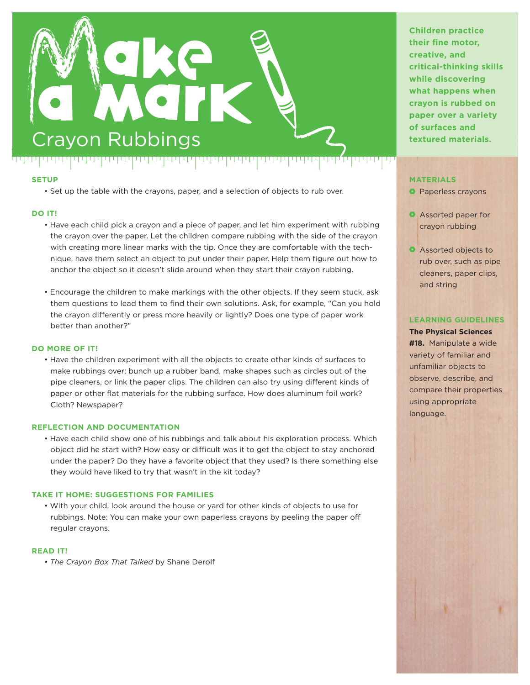

• Set up the table with the crayons, paper, and a selection of objects to rub over.

#### **DO IT!**

- Have each child pick a crayon and a piece of paper, and let him experiment with rubbing the crayon over the paper. Let the children compare rubbing with the side of the crayon with creating more linear marks with the tip. Once they are comfortable with the techhique, have them select an object to put under their paper. Help them figure out how to anchor the object so it doesn't slide around when they start their crayon rubbing.
- Encourage the children to make markings with the other objects. If they seem stuck, ask them questions to lead them to find their own solutions. Ask, for example, "Can you hold the crayon differently or press more heavily or lightly? Does one type of paper work better than another?"

#### **DO MORE OF IT!**

• Have the children experiment with all the objects to create other kinds of surfaces to make rubbings over: bunch up a rubber band, make shapes such as circles out of the pipe cleaners, or link the paper clips. The children can also try using different kinds of paper or other flat materials for the rubbing surface. How does aluminum foil work? Cloth? Newspaper?

#### **REFLECTION AND DOCUMENTATION**

• Have each child show one of his rubbings and talk about his exploration process. Which object did he start with? How easy or difficult was it to get the object to stay anchored under the paper? Do they have a favorite object that they used? Is there something else they would have liked to try that wasn't in the kit today?

#### **TAKE IT HOME: SUGGESTIONS FOR FAMILIES**

• With your child, look around the house or yard for other kinds of objects to use for rubbings. Note: You can make your own paperless crayons by peeling the paper off regular crayons.

#### **READ IT!**

<u>• The Crayon Box That Talked by Shane Derolf</u>

**Children practice their fine motor, creative, and critical-thinking skills while discovering what happens when crayon is rubbed on paper over a variety of surfaces and** 

#### **MATERIALS**

- **Paperless crayons**
- Assorted paper for crayon rubbing
- Assorted objects to rub over, such as pipe cleaners, paper clips, and string

#### **LEARNING GUIDELINES**

**The Physical Sciences #18.** Manipulate a wide variety of familiar and unfamiliar objects to observe, describe, and compare their properties using appropriate language.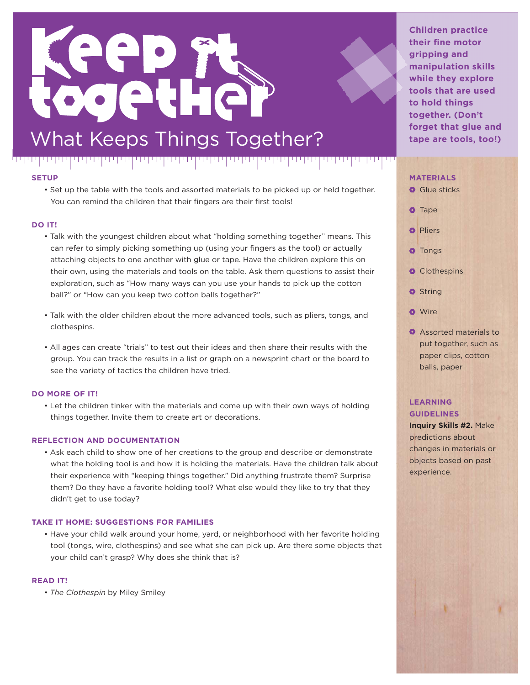## eo ogetHe What Keeps Things Together?

#### بربربر إبريزابر **SETUP**

• Set up the table with the tools and assorted materials to be picked up or held together. You can remind the children that their fingers are their first tools!

יניויין יוין ידי

الإلالا إلالا إلا

#### **DO IT!**

- Talk with the youngest children about what "holding something together" means. This can refer to simply picking something up (using your fingers as the tool) or actually attaching objects to one another with glue or tape. Have the children explore this on their own, using the materials and tools on the table. Ask them questions to assist their exploration, such as "How many ways can you use your hands to pick up the cotton ball?" or "How can you keep two cotton balls together?"
- Talk with the older children about the more advanced tools, such as pliers, tongs, and clothespins.
- All ages can create "trials" to test out their ideas and then share their results with the group. You can track the results in a list or graph on a newsprint chart or the board to see the variety of tactics the children have tried.

#### **DO MORE OF IT!**

• Let the children tinker with the materials and come up with their own ways of holding things together. Invite them to create art or decorations.

#### **REFLECTION AND DOCUMENTATION**

• Ask each child to show one of her creations to the group and describe or demonstrate what the holding tool is and how it is holding the materials. Have the children talk about their experience with "keeping things together." Did anything frustrate them? Surprise them? Do they have a favorite holding tool? What else would they like to try that they didn't get to use today?

#### **TAKE IT HOME: SUGGESTIONS FOR FAMILIES**

• Have your child walk around your home, yard, or neighborhood with her favorite holding tool (tongs, wire, clothespins) and see what she can pick up. Are there some objects that your child can't grasp? Why does she think that is?

#### **READ IT!**

• *The Clothespin* by Miley Smiley

**Children practice their fine motor gripping and manipulation skills while they explore tools that are used to hold things together. (Don't forget that glue and tape are tools, too!)**

#### **MATERIALS**



**Assorted materials to** put together, such as paper clips, cotton balls, paper

#### **LEARNING GUIDELINES**

**Inquiry Skills #2.** Make predictions about changes in materials or objects based on past experience.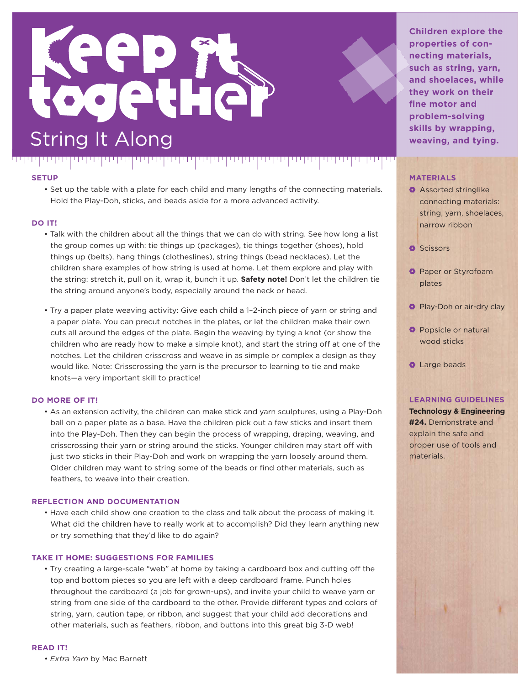

יתי ויידי ויידי ב

#### للماس والمالي **SETUP**

. . . . . . . . . . . . . .

• Set up the table with a plate for each child and many lengths of the connecting materials. Hold the Play-Doh, sticks, and beads aside for a more advanced activity.

पण

#### **DO IT!**

- Talk with the children about all the things that we can do with string. See how long a list the group comes up with: tie things up (packages), tie things together (shoes), hold things up (belts), hang things (clotheslines), string things (bead necklaces). Let the children share examples of how string is used at home. Let them explore and play with the string: stretch it, pull on it, wrap it, bunch it up. **Safety note!** Don't let the children tie the string around anyone's body, especially around the neck or head.
- Try a paper plate weaving activity: Give each child a 1-2-inch piece of yarn or string and a paper plate. You can precut notches in the plates, or let the children make their own cuts all around the edges of the plate. Begin the weaving by tying a knot (or show the children who are ready how to make a simple knot), and start the string off at one of the notches. Let the children crisscross and weave in as simple or complex a design as they would like. Note: Crisscrossing the yarn is the precursor to learning to tie and make knots—a very important skill to practice!

#### **DO MORE OF IT!**

• As an extension activity, the children can make stick and yarn sculptures, using a Play-Doh ball on a paper plate as a base. Have the children pick out a few sticks and insert them into the Play-Doh. Then they can begin the process of wrapping, draping, weaving, and crisscrossing their yarn or string around the sticks. Younger children may start off with just two sticks in their Play-Doh and work on wrapping the yarn loosely around them. Older children may want to string some of the beads or find other materials, such as feathers, to weave into their creation.

#### **REFLECTION AND DOCUMENTATION**

• Have each child show one creation to the class and talk about the process of making it. What did the children have to really work at to accomplish? Did they learn anything new or try something that they'd like to do again?

#### **TAKE IT HOME: SUGGESTIONS FOR FAMILIES**

• Try creating a large-scale "web" at home by taking a cardboard box and cutting off the top and bottom pieces so you are left with a deep cardboard frame. Punch holes throughout the cardboard (a job for grown-ups), and invite your child to weave yarn or string from one side of the cardboard to the other. Provide different types and colors of string, yarn, caution tape, or ribbon, and suggest that your child add decorations and other materials, such as feathers, ribbon, and buttons into this great big 3-D web!

#### **READ IT!**

• Extra Yarn by Mac Barnett

**Children explore the properties of connecting materials, such as string, yarn, and shoelaces, while they work on their fine motor and problem-solving skills by wrapping, weaving, and tying.**

#### **MATERIALS**

- **Assorted stringlike** connecting materials: string, yarn, shoelaces, narrow ribbon
- **O** Scissors
- **Paper or Styrofoam** plates
- Play-Doh or air-dry clay
- **O** Popsicle or natural wood sticks
- **O** Large beads

#### **LEARNING GUIDELINES**

**Technology & Engineering #24.** Demonstrate and explain the safe and proper use of tools and materials.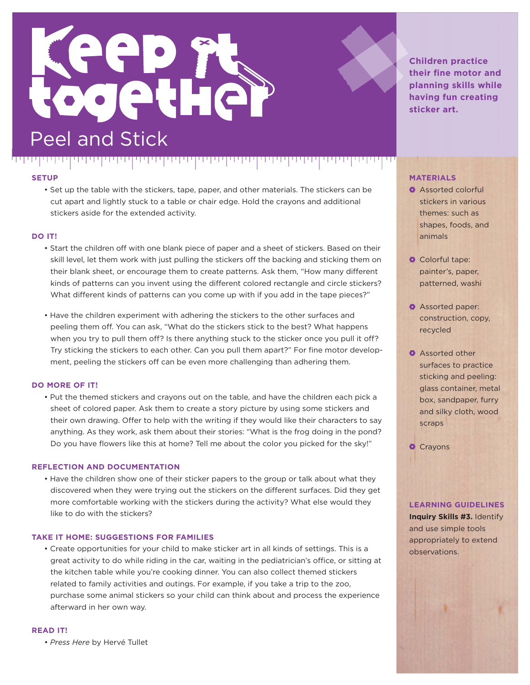

• Set up the table with the stickers, tape, paper, and other materials. The stickers can be cut apart and lightly stuck to a table or chair edge. Hold the crayons and additional stickers aside for the extended activity.

الحالب الحالب

#### **DO IT!**

- Start the children off with one blank piece of paper and a sheet of stickers. Based on their skill level, let them work with just pulling the stickers off the backing and sticking them on their blank sheet, or encourage them to create patterns. Ask them, "How many different kinds of patterns can you invent using the different colored rectangle and circle stickers? What different kinds of patterns can you come up with if you add in the tape pieces?"
- Have the children experiment with adhering the stickers to the other surfaces and peeling them off. You can ask, "What do the stickers stick to the best? What happens when you try to pull them off? Is there anything stuck to the sticker once you pull it off? Try sticking the stickers to each other. Can you pull them apart?" For fine motor development, peeling the stickers off can be even more challenging than adhering them.

#### **DO MORE OF IT!**

• Put the themed stickers and crayons out on the table, and have the children each pick a sheet of colored paper. Ask them to create a story picture by using some stickers and their own drawing. Offer to help with the writing if they would like their characters to say anything. As they work, ask them about their stories: "What is the frog doing in the pond? Do you have flowers like this at home? Tell me about the color you picked for the sky!"

#### **REFLECTION AND DOCUMENTATION**

• Have the children show one of their sticker papers to the group or talk about what they discovered when they were trying out the stickers on the different surfaces. Did they get more comfortable working with the stickers during the activity? What else would they like to do with the stickers?

#### **TAKE IT HOME: SUGGESTIONS FOR FAMILIES**

• Create opportunities for your child to make sticker art in all kinds of settings. This is a great activity to do while riding in the car, waiting in the pediatrician's office, or sitting at the kitchen table while you're cooking dinner. You can also collect themed stickers related to family activities and outings. For example, if you take a trip to the zoo, purchase some animal stickers so your child can think about and process the experience afterward in her own way.

#### **READ IT!**

*• Press Here* by Hervé Tullet

**Children practice their fine motor and planning skills while having fun creating sticker art.**

#### **MATERIALS**

- **Assorted colorful** stickers in various themes: such as shapes, foods, and animals
- **O** Colorful tape: painter's, paper, patterned, washi
- **Assorted paper:** construction, copy, recycled
- **Assorted other** surfaces to practice sticking and peeling: glass container, metal box, sandpaper, furry and silky cloth, wood scraps

**O** Crayons

#### **LEARNING GUIDELINES**

**Inquiry Skills #3.** Identify and use simple tools appropriately to extend observations.